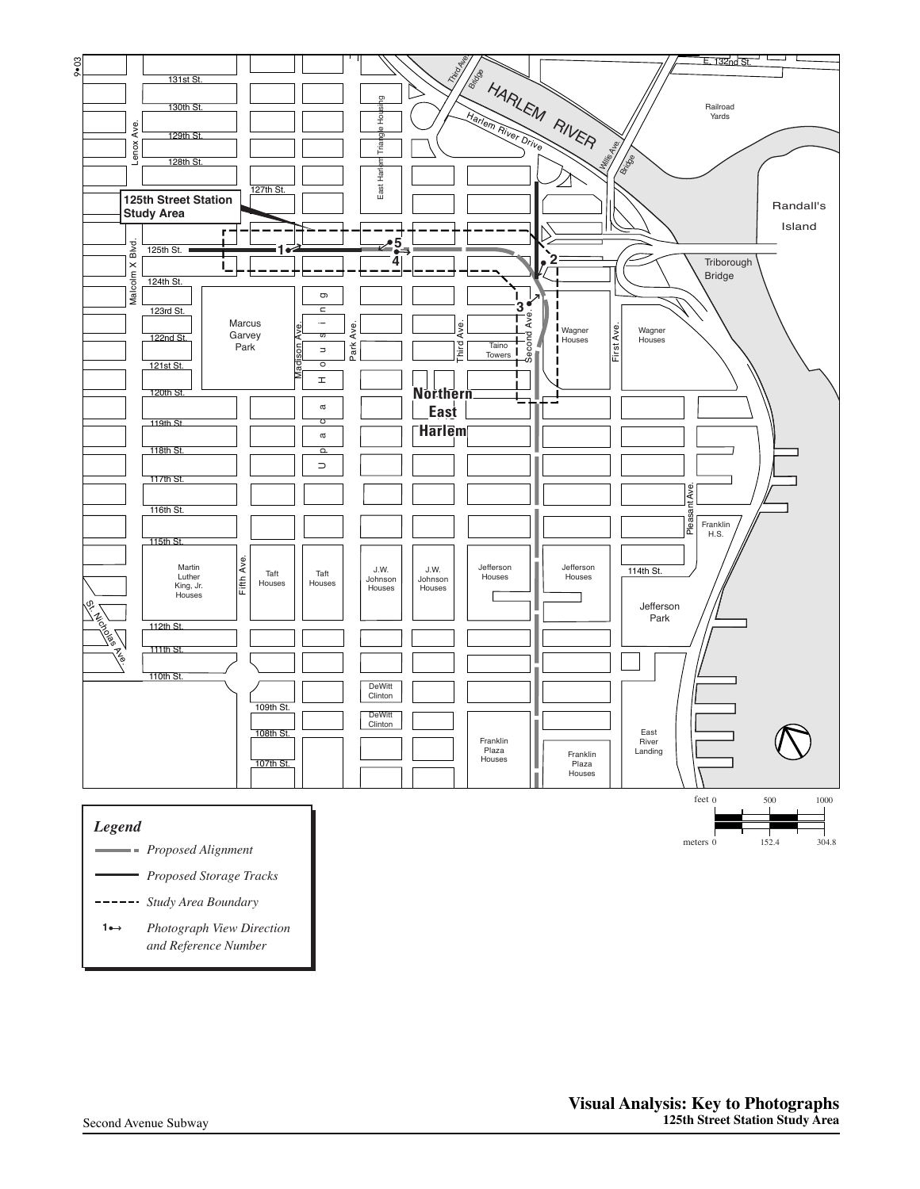



- *Proposed Alignment*
- 103rd St. *Proposed Storage Tracks*
- *Study Area Boundary*
- and Reference Number Madison Ave.  $\frac{1}{1}$ *Photograph View Direction* **1**

 $\overline{\phantom{a}}$ 

Carver Houses

Carver Houses 152.4

meters 0 152.4 304.8